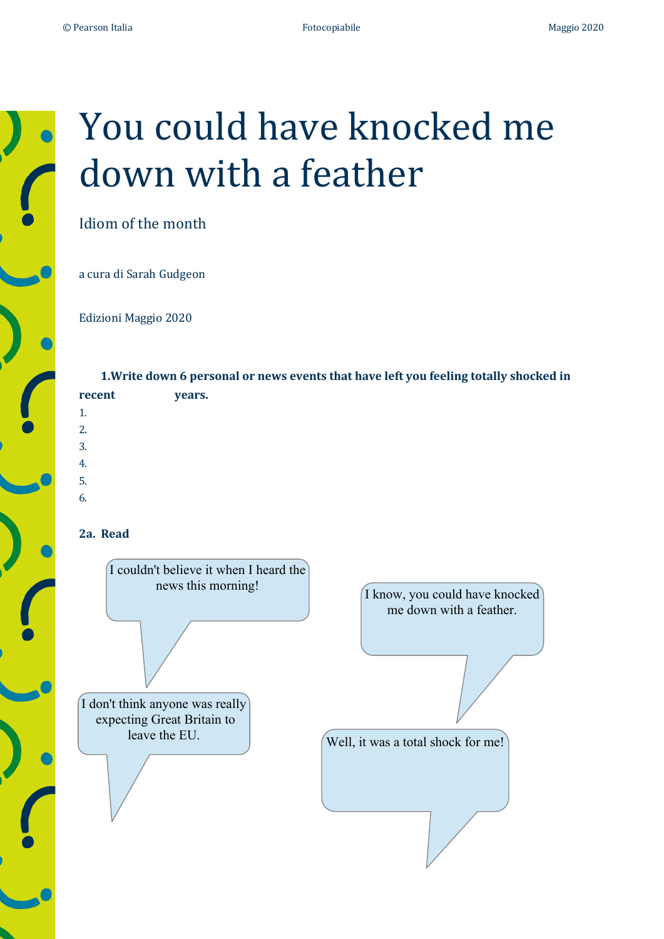

# You could have knocked me down with a feather

Idiom of the month

a cura di Sarah Gudgeon

Edizioni Maggio 2020 

**1.Write down 6 personal or news events that have left you feeling totally shocked in** recent years. 1. 2. 3. 4. 5. 6.

## **2a. Read**

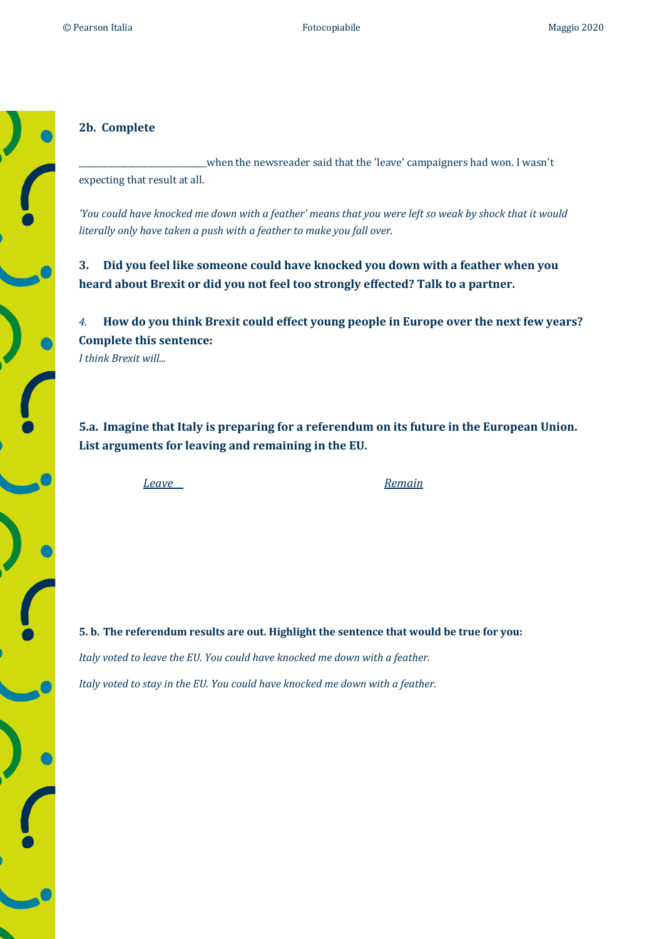#### **2b. Complete**

\_when the newsreader said that the 'leave' campaigners had won. I wasn't expecting that result at all.

'You could have knocked me down with a feather' means that you were left so weak by shock that it would *literally only have taken a push with a feather to make you fall over.* 

**3.** Did you feel like someone could have knocked you down with a feather when you heard about Brexit or did you not feel too strongly effected? Talk to a partner.

4. How do you think Brexit could effect young people in Europe over the next few years? **Complete this sentence:** *I think Brexit will...*

**5.a.** Imagine that Italy is preparing for a referendum on its future in the European Union. List arguments for leaving and remaining in the EU.

*Leave Remain*

**5. b.** The referendum results are out. Highlight the sentence that would be true for you: *Italy voted to leave the EU. You could have knocked me down with a feather. Italy voted to stay in the EU. You could have knocked me down with a feather.*